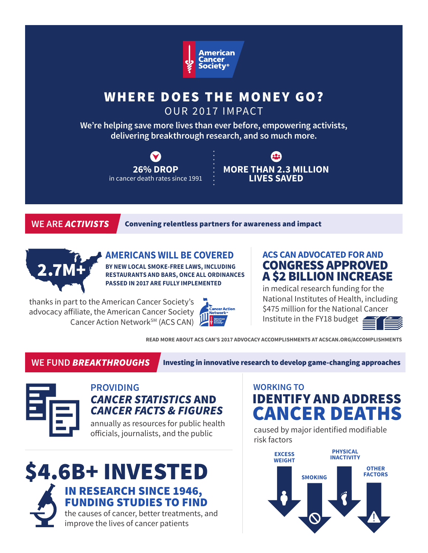

# WHERE DOES THE MONEY GO?

OUR 2017 IMPACT

**We're helping save more lives than ever before, empowering activists, delivering breakthrough research, and so much more.**





**WE ARE** *ACTIVISTS* Convening relentless partners for awareness and impact



**AMERICANS WILL BE COVERED BY NEW LOCAL SMOKE-FREE LAWS, INCLUDING RESTAURANTS AND BARS, ONCE ALL ORDINANCES PASSED IN 2017 ARE FULLY IMPLEMENTED** 

thanks in part to the American Cancer Society's advocacy affiliate, the American Cancer Society Cancer Action Network<sup>SM</sup> (ACS CAN)



### **ACS CAN ADVOCATED FOR AND** CONGRESS APPROVED A \$2 BILLION INCREASE

in medical research funding for the National Institutes of Health, including \$475 million for the National Cancer Institute in the FY18 budget



**READ MORE ABOUT ACS CAN'S 2017 ADVOCACY ACCOMPLISHMENTS AT ACSCAN.ORG/ACCOMPLISHMENTS**

**WE FUND** *BREAKTHROUGHS* Investing in innovative research to develop game-changing approaches



### **PROVIDING** *CANCER STATISTICS* AND *CANCER FACTS & FIGURES*

annually as resources for public health officials, journalists, and the public



# IDENTIFY AND ADDRESS CANCER DEATHS **WORKING TO**

caused by major identified modifiable risk factors